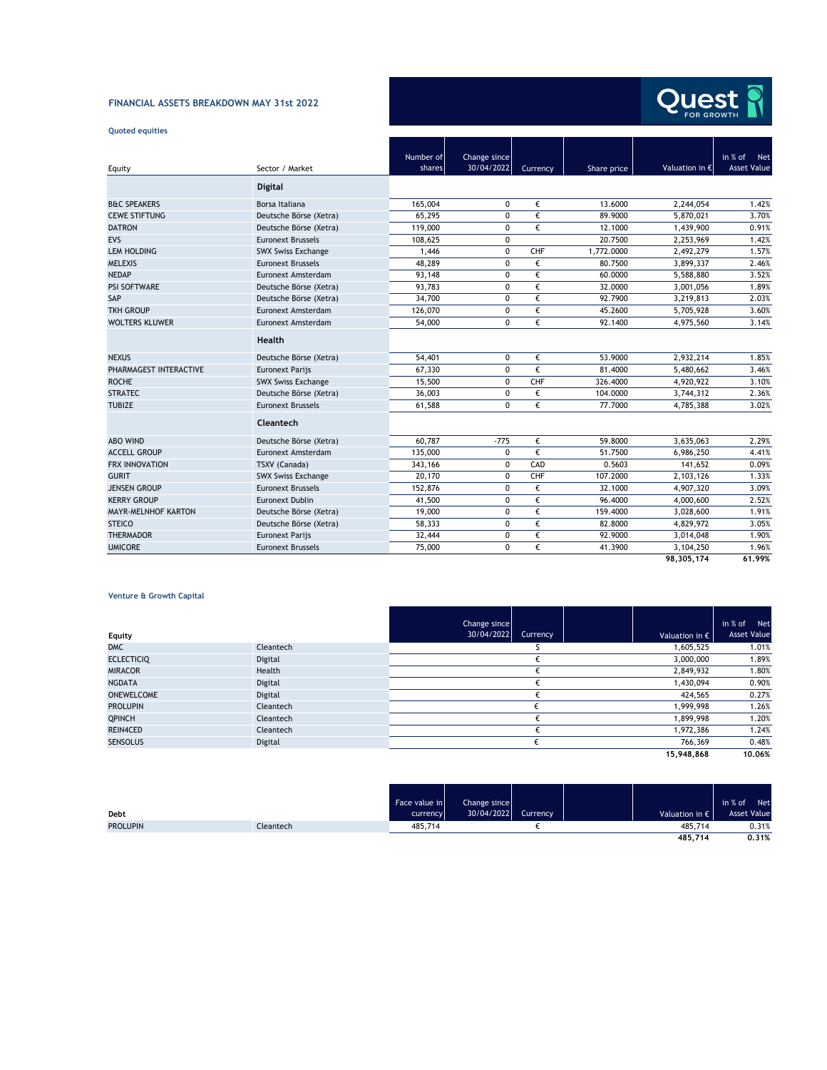# **FINANCIAL ASSETS BREAKDOWN MAY 31st 2022**

# **Quoted equities**



|                         |                           | Number of | Change since |          |             |                         | in % of<br>Net     |
|-------------------------|---------------------------|-----------|--------------|----------|-------------|-------------------------|--------------------|
| Equity                  | Sector / Market           | shares    | 30/04/2022   | Currency | Share price | Valuation in $\epsilon$ | <b>Asset Value</b> |
|                         | <b>Digital</b>            |           |              |          |             |                         |                    |
| <b>B&amp;C SPEAKERS</b> | Borsa Italiana            | 165,004   | 0            | €        | 13.6000     | 2,244,054               | 1.42%              |
| <b>CEWE STIFTUNG</b>    | Deutsche Börse (Xetra)    | 65.295    | $\Omega$     | €        | 89.9000     | 5.870.021               | 3.70%              |
| <b>DATRON</b>           | Deutsche Börse (Xetra)    | 119,000   | $\Omega$     | €        | 12.1000     | 1,439,900               | 0.91%              |
| EVS                     | <b>Euronext Brussels</b>  | 108,625   | 0            |          | 20.7500     | 2,253,969               | 1.42%              |
| <b>LEM HOLDING</b>      | <b>SWX Swiss Exchange</b> | 1,446     | 0            | CHF      | 1,772.0000  | 2,492,279               | 1.57%              |
| <b>MELEXIS</b>          | <b>Euronext Brussels</b>  | 48,289    | 0            | €        | 80.7500     | 3,899,337               | 2.46%              |
| <b>NEDAP</b>            | Euronext Amsterdam        | 93,148    | 0            | €        | 60.0000     | 5,588,880               | 3.52%              |
| <b>PSI SOFTWARE</b>     | Deutsche Börse (Xetra)    | 93,783    | $\Omega$     | €        | 32.0000     | 3,001,056               | 1.89%              |
| SAP                     | Deutsche Börse (Xetra)    | 34,700    | $\Omega$     | €        | 92.7900     | 3,219,813               | 2.03%              |
| <b>TKH GROUP</b>        | Euronext Amsterdam        | 126,070   | $\Omega$     | €        | 45.2600     | 5,705,928               | 3.60%              |
| <b>WOLTERS KLUWER</b>   | Euronext Amsterdam        | 54,000    | $\Omega$     | €        | 92.1400     | 4,975,560               | 3.14%              |
|                         | Health                    |           |              |          |             |                         |                    |
| <b>NEXUS</b>            | Deutsche Börse (Xetra)    | 54,401    | $\Omega$     | €        | 53.9000     | 2,932,214               | 1.85%              |
| PHARMAGEST INTERACTIVE  | <b>Euronext Parijs</b>    | 67,330    | $\Omega$     | €        | 81.4000     | 5,480,662               | 3.46%              |
| <b>ROCHE</b>            | <b>SWX Swiss Exchange</b> | 15,500    | $\Omega$     | CHF      | 326.4000    | 4,920,922               | 3.10%              |
| <b>STRATEC</b>          | Deutsche Börse (Xetra)    | 36,003    | $\Omega$     | €        | 104.0000    | 3,744,312               | 2.36%              |
| <b>TUBIZE</b>           | <b>Euronext Brussels</b>  | 61.588    | $\Omega$     | €        | 77.7000     | 4,785,388               | 3.02%              |
|                         | Cleantech                 |           |              |          |             |                         |                    |
| <b>ABO WIND</b>         | Deutsche Börse (Xetra)    | 60.787    | $-775$       | €        | 59.8000     | 3,635,063               | 2.29%              |
| <b>ACCELL GROUP</b>     | Euronext Amsterdam        | 135,000   | $\Omega$     | €        | 51.7500     | 6.986.250               | 4.41%              |
| <b>FRX INNOVATION</b>   | TSXV (Canada)             | 343,166   | 0            | CAD      | 0.5603      | 141.652                 | 0.09%              |
| <b>GURIT</b>            | <b>SWX Swiss Exchange</b> | 20,170    | $\mathbf 0$  | CHF      | 107.2000    | 2,103,126               | 1.33%              |
| <b>JENSEN GROUP</b>     | <b>Euronext Brussels</b>  | 152,876   | 0            | €        | 32.1000     | 4,907,320               | 3.09%              |
| <b>KERRY GROUP</b>      | Euronext Dublin           | 41,500    | $\Omega$     | €        | 96.4000     | 4,000,600               | 2.52%              |
| MAYR-MELNHOF KARTON     | Deutsche Börse (Xetra)    | 19,000    | 0            | €        | 159.4000    | 3,028,600               | 1.91%              |
| <b>STEICO</b>           | Deutsche Börse (Xetra)    | 58.333    | 0            | €        | 82.8000     | 4,829,972               | 3.05%              |
| <b>THERMADOR</b>        | <b>Euronext Parijs</b>    | 32,444    | 0            | €        | 92.9000     | 3,014,048               | 1.90%              |
| <b>UMICORE</b>          | <b>Euronext Brussels</b>  | 75,000    | 0            | €        | 41.3900     | 3,104,250               | 1.96%              |
|                         |                           |           |              |          |             | 98,305,174              | 61.99%             |

## **Venture & Growth Capital**

| Equity            |           | Change since<br>30/04/2022 | Currency | Valuation in $\epsilon$ | in % of<br>Net<br><b>Asset Value</b> |
|-------------------|-----------|----------------------------|----------|-------------------------|--------------------------------------|
| <b>DMC</b>        | Cleantech |                            |          | 1.605.525               | 1.01%                                |
| <b>ECLECTICIQ</b> | Digital   |                            |          | 3,000,000               | 1.89%                                |
| <b>MIRACOR</b>    | Health    |                            |          | 2,849,932               | 1.80%                                |
| <b>NGDATA</b>     | Digital   |                            |          | 1,430,094               | 0.90%                                |
| <b>ONEWELCOME</b> | Digital   |                            |          | 424,565                 | 0.27%                                |
| <b>PROLUPIN</b>   | Cleantech |                            |          | 1,999,998               | 1.26%                                |
| <b>QPINCH</b>     | Cleantech |                            |          | 1,899,998               | 1.20%                                |
| REIN4CED          | Cleantech |                            |          | 1,972,386               | 1.24%                                |
| <b>SENSOLUS</b>   | Digital   |                            |          | 766,369                 | 0.48%                                |
|                   |           |                            |          | 15,948,868              | 10.06%                               |

ست ا

- 1

and the control

|                 |           | Face value in | Change since |          |                         | in % of<br>Net     |
|-----------------|-----------|---------------|--------------|----------|-------------------------|--------------------|
| Debt            |           | currency      | 30/04/2022   | Currency | Valuation in $\epsilon$ | <b>Asset Value</b> |
| <b>PROLUPIN</b> | Cleantech | 485,714       |              |          | 485,714                 | 0.31%              |
|                 |           |               |              |          | 485.714                 | 0.31%              |